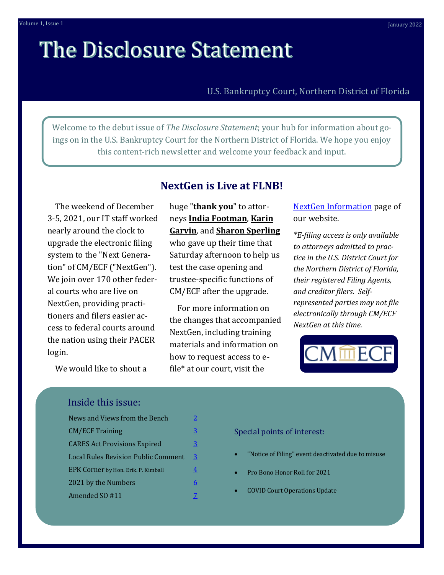# **The Disclosure Statement**

## U.S. Bankruptcy Court, Northern District of Florida

Welcome to the debut issue of *The Disclosure Statement*; your hub for information about goings on in the U.S. Bankruptcy Court for the Northern District of Florida. We hope you enjoy this content-rich newsletter and welcome your feedback and input.

 The weekend of December 3-5, 2021, our IT staff worked nearly around the clock to upgrade the electronic filing system to the "Next Generation" of CM/ECF ("NextGen"). We join over 170 other federal courts who are live on NextGen, providing practitioners and filers easier access to federal courts around the nation using their PACER login.

**NextGen is Live at FLNB!**

huge "**thank you**" to attorneys **India Footman**, **Karin Garvin**, and **Sharon Sperling** who gave up their time that Saturday afternoon to help us test the case opening and trustee-specific functions of CM/ECF after the upgrade.

 For more information on the changes that accompanied NextGen, including training materials and information on how to request access to efile\* at our court, visit the

[NextGen Information](https://www.flnb.uscourts.gov/nextgen-information-hub) page of our website.

*\*E-filing access is only available to attorneys admitted to practice in the U.S. District Court for the Northern District of Florida, their registered Filing Agents, and creditor filers. Selfrepresented parties may not file electronically through CM/ECF NextGen at this time.* 



We would like to shout a

## Inside this issue:

| News and Views from the Bench              | 2              |
|--------------------------------------------|----------------|
| <b>CM/ECF Training</b>                     | 3              |
| <b>CARES Act Provisions Expired</b>        | $\overline{3}$ |
| <b>Local Rules Revision Public Comment</b> | 3              |
| EPK Corner by Hon. Erik. P. Kimball        | 4              |
| 2021 by the Numbers                        | 6              |
| Amended SO #11                             |                |

#### Special points of interest:

- "Notice of Filing" event deactivated due to misuse
- Pro Bono Honor Roll for 2021
- COVID Court Operations Update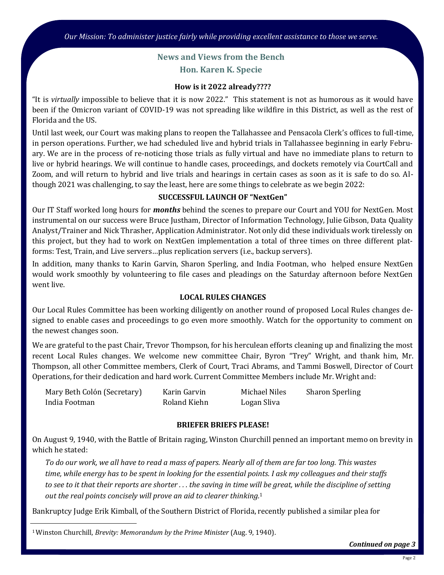## **News and Views from the Bench Hon. Karen K. Specie**

#### **How is it 2022 already????**

<span id="page-1-0"></span>"It is *virtually* impossible to believe that it is now 2022." This statement is not as humorous as it would have been if the Omicron variant of COVID-19 was not spreading like wildfire in this District, as well as the rest of Florida and the US.

Until last week, our Court was making plans to reopen the Tallahassee and Pensacola Clerk's offices to full-time, in person operations. Further, we had scheduled live and hybrid trials in Tallahassee beginning in early February. We are in the process of re-noticing those trials as fully virtual and have no immediate plans to return to live or hybrid hearings. We will continue to handle cases, proceedings, and dockets remotely via CourtCall and Zoom, and will return to hybrid and live trials and hearings in certain cases as soon as it is safe to do so. Although 2021 was challenging, to say the least, here are some things to celebrate as we begin 2022:

#### **SUCCESSFUL LAUNCH OF "NextGen"**

Our IT Staff worked long hours for *months* behind the scenes to prepare our Court and YOU for NextGen. Most instrumental on our success were Bruce Justham, Director of Information Technology, Julie Gibson, Data Quality Analyst/Trainer and Nick Thrasher, Application Administrator. Not only did these individuals work tirelessly on this project, but they had to work on NextGen implementation a total of three times on three different platforms: Test, Train, and Live servers…plus replication servers (i.e., backup servers).

In addition, many thanks to Karin Garvin, Sharon Sperling, and India Footman, who helped ensure NextGen would work smoothly by volunteering to file cases and pleadings on the Saturday afternoon before NextGen went live.

## **LOCAL RULES CHANGES**

Our Local Rules Committee has been working diligently on another round of proposed Local Rules changes designed to enable cases and proceedings to go even more smoothly. Watch for the opportunity to comment on the newest changes soon.

We are grateful to the past Chair, Trevor Thompson, for his herculean efforts cleaning up and finalizing the most recent Local Rules changes. We welcome new committee Chair, Byron "Trey" Wright, and thank him, Mr. Thompson, all other Committee members, Clerk of Court, Traci Abrams, and Tammi Boswell, Director of Court Operations, for their dedication and hard work. Current Committee Members include Mr. Wright and:

| Mary Beth Colón (Secretary) | Karin Garvin | Michael Niles | <b>Sharon Sperling</b> |
|-----------------------------|--------------|---------------|------------------------|
| India Footman               | Roland Kiehn | Logan Sliva   |                        |

#### **BRIEFER BRIEFS PLEASE!**

On August 9, 1940, with the Battle of Britain raging, Winston Churchill penned an important memo on brevity in which he stated:

*To do our work, we all have to read a mass of papers. Nearly all of them are far too long. This wastes time, while energy has to be spent in looking for the essential points. I ask my colleagues and their staffs to see to it that their reports are shorter . . . the saving in time will be great, while the discipline of setting out the real points concisely will prove an aid to clearer thinking.*<sup>1</sup>

Bankruptcy Judge Erik Kimball, of the Southern District of Florida, recently published a similar plea for

*Continued on page 3*

<sup>1</sup>Winston Churchill, *Brevity: Memorandum by the Prime Minister* (Aug. 9, 1940).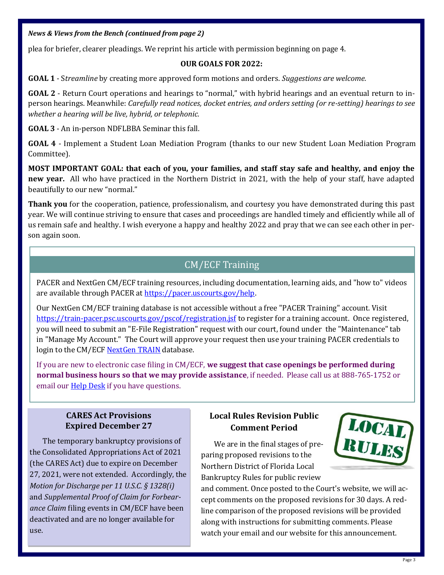## <span id="page-2-0"></span>*News & Views from the Bench (continued from page 2)*

plea for briefer, clearer pleadings. We reprint his article with permission beginning on page 4.

#### **OUR GOALS FOR 2022:**

**GOAL 1** - S*treamline* by creating more approved form motions and orders. *Suggestions are welcome.*

**GOAL 2** - Return Court operations and hearings to "normal," with hybrid hearings and an eventual return to inperson hearings. Meanwhile: *Carefully read notices, docket entries, and orders setting (or re-setting) hearings to see whether a hearing will be live, hybrid, or telephonic.*

**GOAL 3** - An in-person NDFLBBA Seminar this fall.

**GOAL 4** - Implement a Student Loan Mediation Program (thanks to our new Student Loan Mediation Program Committee).

**MOST IMPORTANT GOAL: that each of you, your families, and staff stay safe and healthy, and enjoy the new year.** All who have practiced in the Northern District in 2021, with the help of your staff, have adapted beautifully to our new "normal."

**Thank you** for the cooperation, patience, professionalism, and courtesy you have demonstrated during this past year. We will continue striving to ensure that cases and proceedings are handled timely and efficiently while all of us remain safe and healthy. I wish everyone a happy and healthy 2022 and pray that we can see each other in person again soon.

# CM/ECF Training

PACER and NextGen CM/ECF training resources, including documentation, learning aids, and "how to" videos are available through PACER at https://pacer.uscourts.gov/help.

Our NextGen CM/ECF training database is not accessible without a free "PACER Training" account. Visit https://train-[pacer.psc.uscourts.gov/pscof/registration.jsf](https://train-pacer.psc.uscourts.gov/pscof/registration.jsf) to register for a training account. Once registered, you will need to submit an "E-File Registration" request with our court, found under the "Maintenance" tab in "Manage My Account." The Court will approve your request then use your training PACER credentials to login to the CM/ECF [NextGen TRAIN](https://ecf-train.flnb.uscourts.gov/) database.

If you are new to electronic case filing in CM/ECF, **we suggest that case openings be performed during normal business hours so that we may provide assistance**, if needed. Please call us at 888-765-1752 or email our **[Help Desk](https://www.flnb.uscourts.gov/ecf-helpdesk)** if you have questions.

## **CARES Act Provisions Expired December 27**

The temporary bankruptcy provisions of the Consolidated Appropriations Act of 2021 (the CARES Act) due to expire on December 27, 2021, were not extended. Accordingly, the *Motion for Discharge per 11 U.S.C. § 1328(i)*  and *Supplemental Proof of Claim for Forbearance Claim* filing events in CM/ECF have been deactivated and are no longer available for use.

## **Local Rules Revision Public Comment Period**

We are in the final stages of preparing proposed revisions to the Northern District of Florida Local Bankruptcy Rules for public review



and comment. Once posted to the Court's website, we will accept comments on the proposed revisions for 30 days. A redline comparison of the proposed revisions will be provided along with instructions for submitting comments. Please watch your email and our website for this announcement.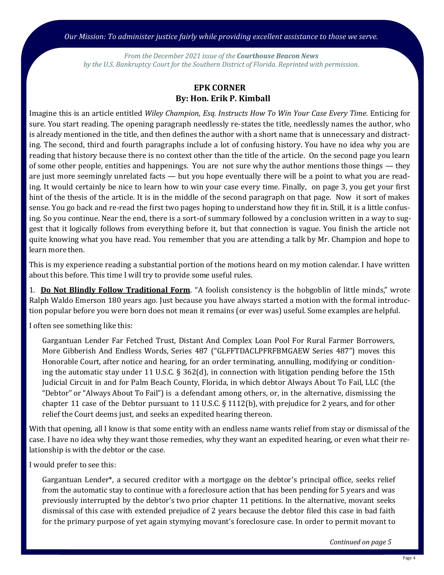<span id="page-3-0"></span>*Our Mission: To administer justice fairly while providing excellent assistance to those we serve.*

*From the December 2021 issue of the Courthouse Beacon News by the U.S. Bankruptcy Court for the Southern District of Florida. Reprinted with permission.*

## **EPK CORNER By: Hon. Erik P. Kimball**

Imagine this is an article entitled *Wiley Champion, Esq. Instructs How To Win Your Case Every Time.* Enticing for sure. You start reading. The opening paragraph needlessly re-states the title, needlessly names the author, who is already mentioned in the title, and then defines the author with a short name that is unnecessary and distracting. The second, third and fourth paragraphs include a lot of confusing history. You have no idea why you are reading that history because there is no context other than the title of the article. On the second page you learn of some other people, entities and happenings. You are not sure why the author mentions those things — they are just more seemingly unrelated facts — but you hope eventually there will be a point to what you are reading. It would certainly be nice to learn how to win your case every time. Finally, on page 3, you get your first hint of the thesis of the article. It is in the middle of the second paragraph on that page. Now it sort of makes sense. You go back and re-read the first two pages hoping to understand how they fit in. Still, it is a little confusing. So you continue. Near the end, there is a sort-of summary followed by a conclusion written in a way to suggest that it logically follows from everything before it, but that connection is vague. You finish the article not quite knowing what you have read. You remember that you are attending a talk by Mr. Champion and hope to learn more then.

This is my experience reading a substantial portion of the motions heard on my motion calendar. I have written about this before. This time I will try to provide some useful rules.

1. **Do Not Blindly Follow Traditional Form**. "A foolish consistency is the hobgoblin of little minds," wrote Ralph Waldo Emerson 180 years ago. Just because you have always started a motion with the formal introduction popular before you were born does not mean it remains (or ever was) useful. Some examples are helpful.

I often see something like this:

Gargantuan Lender Far Fetched Trust, Distant And Complex Loan Pool For Rural Farmer Borrowers, More Gibberish And Endless Words, Series 487 ("GLFFTDACLPFRFBMGAEW Series 487") moves this Honorable Court, after notice and hearing, for an order terminating, annulling, modifying or conditioning the automatic stay under 11 U.S.C.  $\S 362(d)$ , in connection with litigation pending before the 15th Judicial Circuit in and for Palm Beach County, Florida, in which debtor Always About To Fail, LLC (the "Debtor" or "Always About To Fail") is a defendant among others, or, in the alternative, dismissing the chapter 11 case of the Debtor pursuant to 11 U.S.C. § 1112(b), with prejudice for 2 years, and for other relief the Court deems just, and seeks an expedited hearing thereon.

With that opening, all I know is that some entity with an endless name wants relief from stay or dismissal of the case. I have no idea why they want those remedies, why they want an expedited hearing, or even what their relationship is with the debtor or the case.

I would prefer to see this:

Gargantuan Lender\*, a secured creditor with a mortgage on the debtor's principal office, seeks relief from the automatic stay to continue with a foreclosure action that has been pending for 5 years and was previously interrupted by the debtor's two prior chapter 11 petitions. In the alternative, movant seeks dismissal of this case with extended prejudice of 2 years because the debtor filed this case in bad faith for the primary purpose of yet again stymying movant's foreclosure case. In order to permit movant to

*Continued on page 5*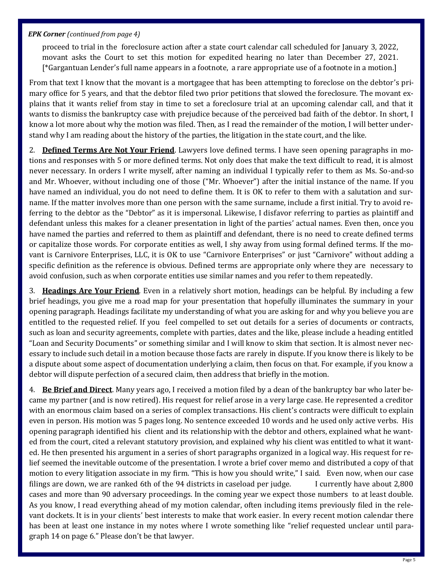#### *EPK Corner (continued from page 4)*

proceed to trial in the foreclosure action after a state court calendar call scheduled for January 3, 2022, movant asks the Court to set this motion for expedited hearing no later than December 27, 2021. [\*Gargantuan Lender's full name appears in a footnote, a rare appropriate use of a footnote in a motion.]

From that text I know that the movant is a mortgagee that has been attempting to foreclose on the debtor's primary office for 5 years, and that the debtor filed two prior petitions that slowed the foreclosure. The movant explains that it wants relief from stay in time to set a foreclosure trial at an upcoming calendar call, and that it wants to dismiss the bankruptcy case with prejudice because of the perceived bad faith of the debtor. In short, I know a lot more about why the motion was filed. Then, as I read the remainder of the motion, I will better understand why I am reading about the history of the parties, the litigation in the state court, and the like.

2. **Defined Terms Are Not Your Friend**. Lawyers love defined terms. I have seen opening paragraphs in motions and responses with 5 or more defined terms. Not only does that make the text difficult to read, it is almost never necessary. In orders I write myself, after naming an individual I typically refer to them as Ms. So-and-so and Mr. Whoever, without including one of those ("Mr. Whoever") after the initial instance of the name. If you have named an individual, you do not need to define them. It is OK to refer to them with a salutation and surname. If the matter involves more than one person with the same surname, include a first initial. Try to avoid referring to the debtor as the "Debtor" as it is impersonal. Likewise, I disfavor referring to parties as plaintiff and defendant unless this makes for a cleaner presentation in light of the parties' actual names. Even then, once you have named the parties and referred to them as plaintiff and defendant, there is no need to create defined terms or capitalize those words. For corporate entities as well, I shy away from using formal defined terms. If the movant is Carnivore Enterprises, LLC, it is OK to use "Carnivore Enterprises" or just "Carnivore" without adding a specific definition as the reference is obvious. Defined terms are appropriate only where they are necessary to avoid confusion, such as when corporate entities use similar names and you refer to them repeatedly.

3. **Headings Are Your Friend**. Even in a relatively short motion, headings can be helpful. By including a few brief headings, you give me a road map for your presentation that hopefully illuminates the summary in your opening paragraph. Headings facilitate my understanding of what you are asking for and why you believe you are entitled to the requested relief. If you feel compelled to set out details for a series of documents or contracts, such as loan and security agreements, complete with parties, dates and the like, please include a heading entitled "Loan and Security Documents" or something similar and I will know to skim that section. It is almost never necessary to include such detail in a motion because those facts are rarely in dispute. If you know there is likely to be a dispute about some aspect of documentation underlying a claim, then focus on that. For example, if you know a debtor will dispute perfection of a secured claim, then address that briefly in the motion.

4. **Be Brief and Direct**. Many years ago, I received a motion filed by a dean of the bankruptcy bar who later became my partner (and is now retired). His request for relief arose in a very large case. He represented a creditor with an enormous claim based on a series of complex transactions. His client's contracts were difficult to explain even in person. His motion was 5 pages long. No sentence exceeded 10 words and he used only active verbs. His opening paragraph identified his client and its relationship with the debtor and others, explained what he wanted from the court, cited a relevant statutory provision, and explained why his client was entitled to what it wanted. He then presented his argument in a series of short paragraphs organized in a logical way. His request for relief seemed the inevitable outcome of the presentation. I wrote a brief cover memo and distributed a copy of that motion to every litigation associate in my firm. "This is how you should write," I said. Even now, when our case filings are down, we are ranked 6th of the 94 districts in caseload per judge. I currently have about 2,800 cases and more than 90 adversary proceedings. In the coming year we expect those numbers to at least double. As you know, I read everything ahead of my motion calendar, often including items previously filed in the relevant dockets. It is in your clients' best interests to make that work easier. In every recent motion calendar there has been at least one instance in my notes where I wrote something like "relief requested unclear until paragraph 14 on page 6." Please don't be that lawyer.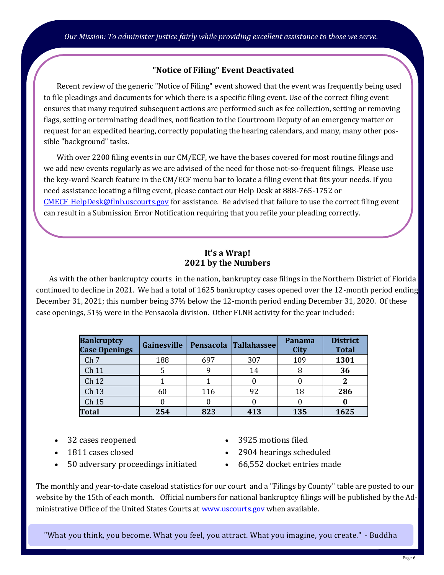## **"Notice of Filing" Event Deactivated**

<span id="page-5-0"></span>Recent review of the generic "Notice of Filing" event showed that the event was frequently being used to file pleadings and documents for which there is a specific filing event. Use of the correct filing event ensures that many required subsequent actions are performed such as fee collection, setting or removing flags, setting or terminating deadlines, notification to the Courtroom Deputy of an emergency matter or request for an expedited hearing, correctly populating the hearing calendars, and many, many other possible "background" tasks.

With over 2200 filing events in our CM/ECF, we have the bases covered for most routine filings and we add new events regularly as we are advised of the need for those not-so-frequent filings. Please use the key-word Search feature in the CM/ECF menu bar to locate a filing event that fits your needs. If you need assistance locating a filing event, please contact our Help Desk at 888-765-1752 or CMECF HelpDesk@flnb.uscourts.gov for assistance. Be advised that failure to use the correct filing event can result in a Submission Error Notification requiring that you refile your pleading correctly.

## **It's a Wrap! 2021 by the Numbers**

As with the other bankruptcy courts in the nation, bankruptcy case filings in the Northern District of Florida continued to decline in 2021. We had a total of 1625 bankruptcy cases opened over the 12-month period ending December 31, 2021; this number being 37% below the 12-month period ending December 31, 2020. Of these case openings, 51% were in the Pensacola division. Other FLNB activity for the year included:

| <b>Bankruptcy</b><br><b>Case Openings</b> | Gainesville |     | Pensacola Tallahassee | Panama<br>City | <b>District</b><br><b>Total</b> |
|-------------------------------------------|-------------|-----|-----------------------|----------------|---------------------------------|
| Ch <sub>7</sub>                           | 188         | 697 | 307                   | 109            | 1301                            |
| Ch 11                                     |             | q   | 14                    |                | 36                              |
| Ch 12                                     |             |     |                       |                |                                 |
| Ch 13                                     | 60          | 116 | 92                    | 18             | 286                             |
| Ch 15                                     |             |     |                       |                |                                 |
| Total                                     | 254         | 823 | 413                   | 135            | 1625                            |

- 32 cases reopened
- 1811 cases closed
- 50 adversary proceedings initiated
- 3925 motions filed
- 2904 hearings scheduled
- 66,552 docket entries made

The monthly and year-to-date caseload statistics for our court and a "Filings by County" table are posted to our website by the 15th of each month. Official numbers for national bankruptcy filings will be published by the Administrative Office of the United States Courts at [www.uscourts.gov](http://www.uscourts.gov) when available.

"What you think, you become. What you feel, you attract. What you imagine, you create." - Buddha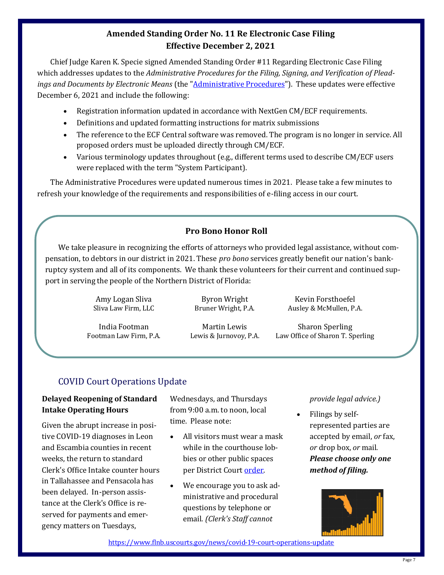# **Amended Standing Order No. 11 Re Electronic Case Filing Effective December 2, 2021**

<span id="page-6-0"></span>Chief Judge Karen K. Specie signed Amended Standing Order #11 Regarding Electronic Case Filing which addresses updates to the *Administrative Procedures for the Filing, Signing, and Verification of Pleadings and Documents by Electronic Means* (the ["Administrative Procedures"](https://www.flnb.uscourts.gov/sites/flnb/files/admin_procedures.pdf)). These updates were effective December 6, 2021 and include the following:

- Registration information updated in accordance with NextGen CM/ECF requirements.
- Definitions and updated formatting instructions for matrix submissions
- The reference to the ECF Central software was removed. The program is no longer in service. All proposed orders must be uploaded directly through CM/ECF.
- Various terminology updates throughout (e.g., different terms used to describe CM/ECF users were replaced with the term "System Participant).

The Administrative Procedures were updated numerous times in 2021. Please take a few minutes to refresh your knowledge of the requirements and responsibilities of e-filing access in our court.

## **Pro Bono Honor Roll**

We take pleasure in recognizing the efforts of attorneys who provided legal assistance, without compensation, to debtors in our district in 2021. These *pro bono* services greatly benefit our nation's bankruptcy system and all of its components. We thank these volunteers for their current and continued support in serving the people of the Northern District of Florida:

> Amy Logan Sliva Sliva Law Firm, LLC

India Footman Footman Law Firm, P.A.

Byron Wright Bruner Wright, P.A.

Martin Lewis Lewis & Jurnovoy, P.A.

Kevin Forsthoefel Ausley & McMullen, P.A.

Sharon Sperling Law Office of Sharon T. Sperling

# COVID Court Operations Update

## **Delayed Reopening of Standard Intake Operating Hours**

Given the abrupt increase in positive COVID-19 diagnoses in Leon and Escambia counties in recent weeks, the return to standard Clerk's Office Intake counter hours in Tallahassee and Pensacola has been delayed. In-person assistance at the Clerk's Office is reserved for payments and emergency matters on Tuesdays,

Wednesdays, and Thursdays from 9:00 a.m. to noon, local time. Please note:

- All visitors must wear a mask while in the courthouse lobbies or other public spaces per District Court [order.](https://www.flnb.uscourts.gov/sites/flnb/files/general-orders/20210729_AdminOrder_COVID19_UpdatedMaskRqmt_Dktd.pdf)
- We encourage you to ask administrative and procedural questions by telephone or email. *(Clerk's Staff cannot*

*provide legal advice.)*

• Filings by selfrepresented parties are accepted by email, *or* fax, *or* drop box, *or* mail. *Please choose only one method of filing.*



[https://www.flnb.uscourts.gov/news/covid](https://www.flnb.uscourts.gov/news/covid-19-court-operations-update)-19-court-operations-update